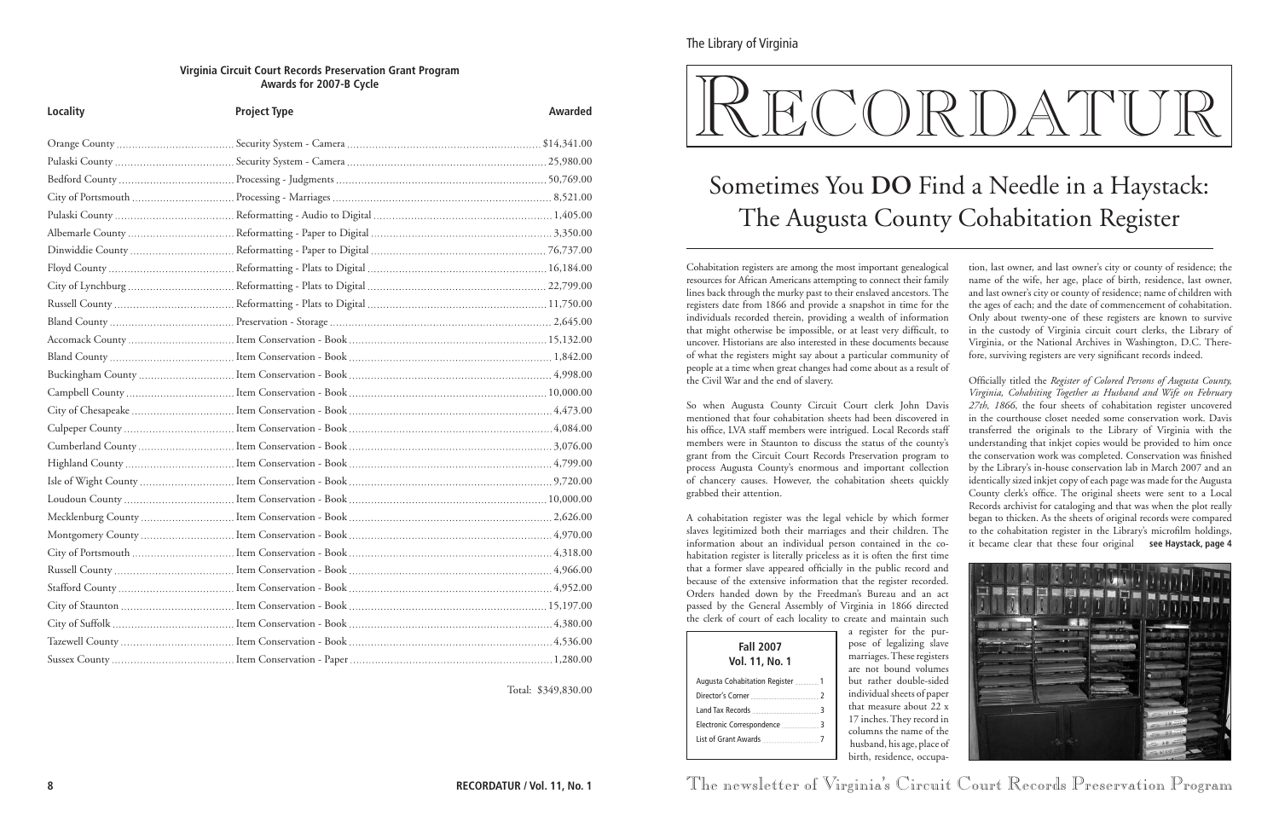Cohabitation registers are among the most important genealogical resources for African Americans attempting to connect their family lines back through the murky past to their enslaved ancestors. The registers date from 1866 and provide a snapshot in time for the individuals recorded therein, providing a wealth of information that might otherwise be impossible, or at least very difficult, to uncover. Historians are also interested in these documents because of what the registers might say about a particular community of people at a time when great changes had come about as a result of the Civil War and the end of slavery.

So when Augusta County Circuit Court clerk John Davis mentioned that four cohabitation sheets had been discovered in his office, LVA staff members were intrigued. Local Records staff members were in Staunton to discuss the status of the county's grant from the Circuit Court Records Preservation program to process Augusta County's enormous and important collection of chancery causes. However, the cohabitation sheets quickly grabbed their attention.

A cohabitation register was the legal vehicle by which former slaves legitimized both their marriages and their children. The information about an individual person contained in the cohabitation register is literally priceless as it is often the first time that a former slave appeared officially in the public record and because of the extensive information that the register recorded. Orders handed down by the Freedman's Bureau and an act passed by the General Assembly of Virginia in 1866 directed the clerk of court of each locality to create and maintain such

a register for the purpose of legalizing slave marriages. These registers are not bound volumes but rather double-sided individual sheets of paper that measure about 22 x 17 inches. They record in columns the name of the husband, his age, place of birth, residence, occupa-

| <b>Fall 2007</b><br>Vol. 11, No. 1 |  |
|------------------------------------|--|
| Augusta Cohabitation Register  1   |  |
|                                    |  |
|                                    |  |
|                                    |  |
|                                    |  |
|                                    |  |

tion, last owner, and last owner's city or county of residence; the name of the wife, her age, place of birth, residence, last owner, and last owner's city or county of residence; name of children with the ages of each; and the date of commencement of cohabitation. Only about twenty-one of these registers are known to survive in the custody of Virginia circuit court clerks, the Library of Virginia, or the National Archives in Washington, D.C. Therefore, surviving registers are very significant records indeed.

Officially titled the *Register of Colored Persons of Augusta County, Virginia, Cohabiting Together as Husband and Wife on February 27th, 1866*, the four sheets of cohabitation register uncovered in the courthouse closet needed some conservation work. Davis transferred the originals to the Library of Virginia with the understanding that inkjet copies would be provided to him once the conservation work was completed. Conservation was finished by the Library's in-house conservation lab in March 2007 and an identically sized inkjet copy of each page was made for the Augusta County clerk's office. The original sheets were sent to a Local Records archivist for cataloging and that was when the plot really began to thicken. As the sheets of original records were compared to the cohabitation register in the Library's microfilm holdings, it became clear that these four original **see Haystack, page 4**



The newsletter of Virginia's Circuit Court Records Preservation Program

# Sometimes You **Do** Find a Needle in a Haystack: The Augusta County Cohabitation Register

### **Virginia Circuit Court Records Preservation Grant Program Awards for 2007-B Cycle**

| Locality       | <b>Project Type</b> | <b>Awarded</b> |
|----------------|---------------------|----------------|
|                |                     |                |
|                |                     |                |
|                |                     |                |
|                |                     |                |
|                |                     |                |
|                |                     |                |
|                |                     |                |
|                |                     |                |
|                |                     |                |
|                |                     |                |
|                |                     |                |
|                |                     |                |
|                |                     |                |
|                |                     |                |
|                |                     |                |
|                |                     |                |
|                |                     |                |
|                |                     |                |
|                |                     |                |
|                |                     |                |
|                |                     |                |
|                |                     |                |
|                |                     |                |
|                |                     |                |
| Russell County |                     | 4,966.00       |
|                |                     |                |
|                |                     |                |
|                |                     |                |
|                |                     |                |
|                |                     |                |

Total: \$349,830.00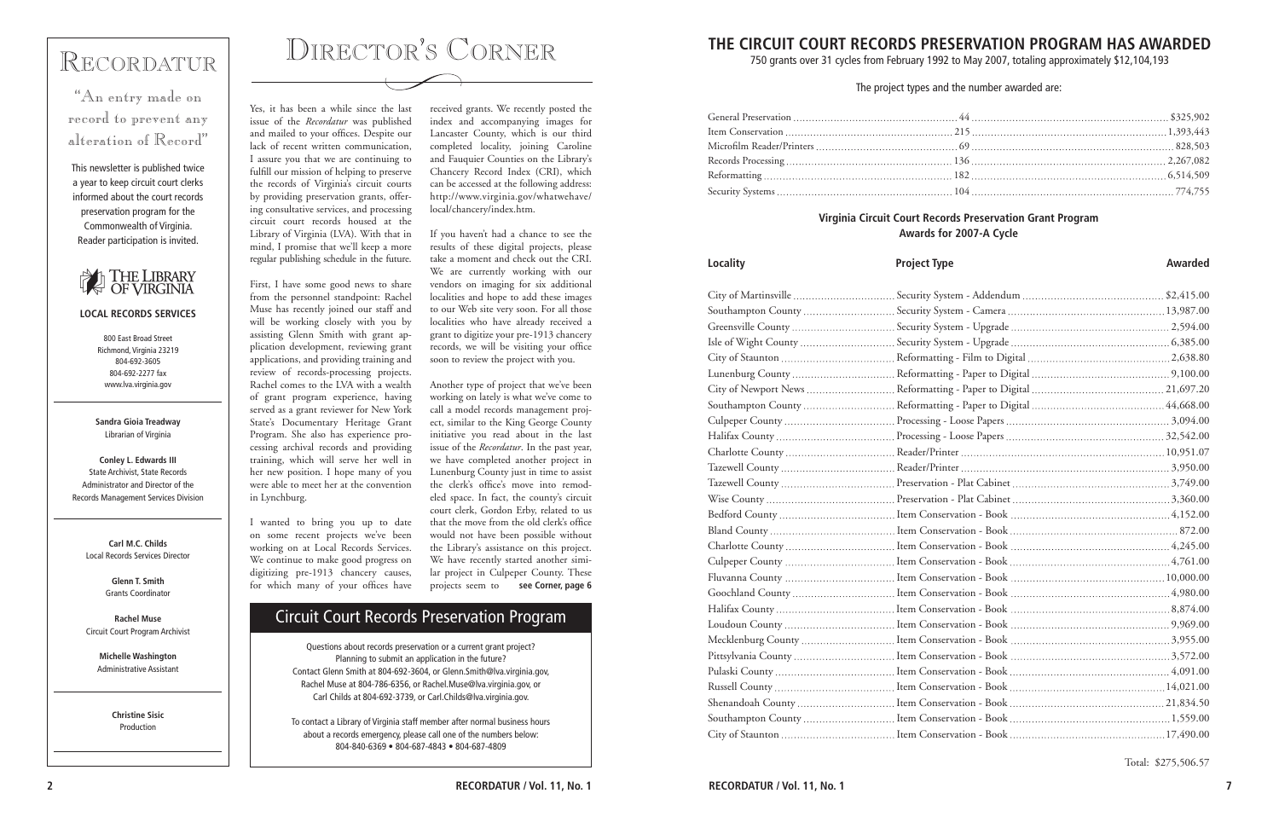# Recordatur

"An entry made on record to prevent any alteration of Record"

This newsletter is published twice a year to keep circuit court clerks informed about the court records preservation program for the Commonwealth of Virginia. Reader participation is invited.



### **LOCAL RECORDS SERVICES**

800 East Broad Street Richmond, Virginia 23219 804-692-3605 804-692-2277 fax www.lva.virginia.gov

**Sandra Gioia Treadway** Librarian of Virginia

**Conley L. Edwards III** State Archivist, State Records Administrator and Director of the Records Management Services Division

**Carl M.C. Childs** Local Records Services Director

> **Glenn T. Smith** Grants Coordinator

**Rachel Muse** Circuit Court Program Archivist

**Michelle Washington** Administrative Assistant

> **Christine Sisic** Production

# Director's Corner

Yes, it has been a while since the last issue of the *Recordatur* was published and mailed to your offices. Despite our lack of recent written communication, I assure you that we are continuing to fulfill our mission of helping to preserve the records of Virginia's circuit courts by providing preservation grants, offering consultative services, and processing circuit court records housed at the Library of Virginia (LVA). With that in mind, I promise that we'll keep a more regular publishing schedule in the future.

First, I have some good news to share from the personnel standpoint: Rachel Muse has recently joined our staff and will be working closely with you by assisting Glenn Smith with grant application development, reviewing grant applications, and providing training and review of records-processing projects. Rachel comes to the LVA with a wealth of grant program experience, having served as a grant reviewer for New York State's Documentary Heritage Grant Program. She also has experience processing archival records and providing training, which will serve her well in her new position. I hope many of you were able to meet her at the convention in Lynchburg.

I wanted to bring you up to date on some recent projects we've been working on at Local Records Services. We continue to make good progress on digitizing pre-1913 chancery causes, for which many of your offices have

received grants. We recently posted the index and accompanying images for Lancaster County, which is our third completed locality, joining Caroline and Fauquier Counties on the Library's Chancery Record Index (CRI), which can be accessed at the following address: http://www.virginia.gov/whatwehave/ local/chancery/index.htm.

If you haven't had a chance to see the results of these digital projects, please take a moment and check out the CRI. We are currently working with our vendors on imaging for six additional localities and hope to add these images to our Web site very soon. For all those localities who have already received a grant to digitize your pre-1913 chancery records, we will be visiting your office soon to review the project with you.

Another type of project that we've been working on lately is what we've come to call a model records management project, similar to the King George County initiative you read about in the last issue of the *Recordatur*. In the past year, we have completed another project in Lunenburg County just in time to assist the clerk's office's move into remodeled space. In fact, the county's circuit court clerk, Gordon Erby, related to us that the move from the old clerk's office would not have been possible without the Library's assistance on this project. We have recently started another similar project in Culpeper County. These projects seem to **see Corner, page 6**

Questions about records preservation or a current grant project? Planning to submit an application in the future? Contact Glenn Smith at 804-692-3604, or Glenn.Smith@lva.virginia.gov, Rachel Muse at 804-786-6356, or Rachel.Muse@lva.virginia.gov, or Carl Childs at 804-692-3739, or Carl.Childs@lva.virginia.gov.

To contact a Library of Virginia staff member after normal business hours about a records emergency, please call one of the numbers below: 804-840-6369 • 804-687-4843 • 804-687-4809

## Circuit Court Records Preservation Program

The project types and the number awarded are:

### Locality **Research Project Type Awarded Awarded Awarded**

| Southampton County  Security !   |  |
|----------------------------------|--|
|                                  |  |
| Isle of Wight County  Security ! |  |
|                                  |  |
| Lunenburg County  Reformat       |  |
| City of Newport News  Reformat   |  |
| Southampton County  Reformat     |  |
|                                  |  |
|                                  |  |
|                                  |  |
|                                  |  |
|                                  |  |
|                                  |  |
|                                  |  |
|                                  |  |
|                                  |  |
|                                  |  |
|                                  |  |
|                                  |  |
|                                  |  |
|                                  |  |
| Mecklenburg County  Item Cor     |  |
|                                  |  |
|                                  |  |
|                                  |  |
| Shenandoah County  Item Cor      |  |
| Southampton County  Item Cor     |  |
|                                  |  |

### **Virginia Circuit Court Records Preservation Grant Program Awards for 2007-A Cycle**

Total: \$275,506.57

## **THE CIRCUIT COURT RECORDS PRESERVATION PROGRAM HAS AWARDED**

750 grants over 31 cycles from February 1992 to May 2007, totaling approximately \$12,104,193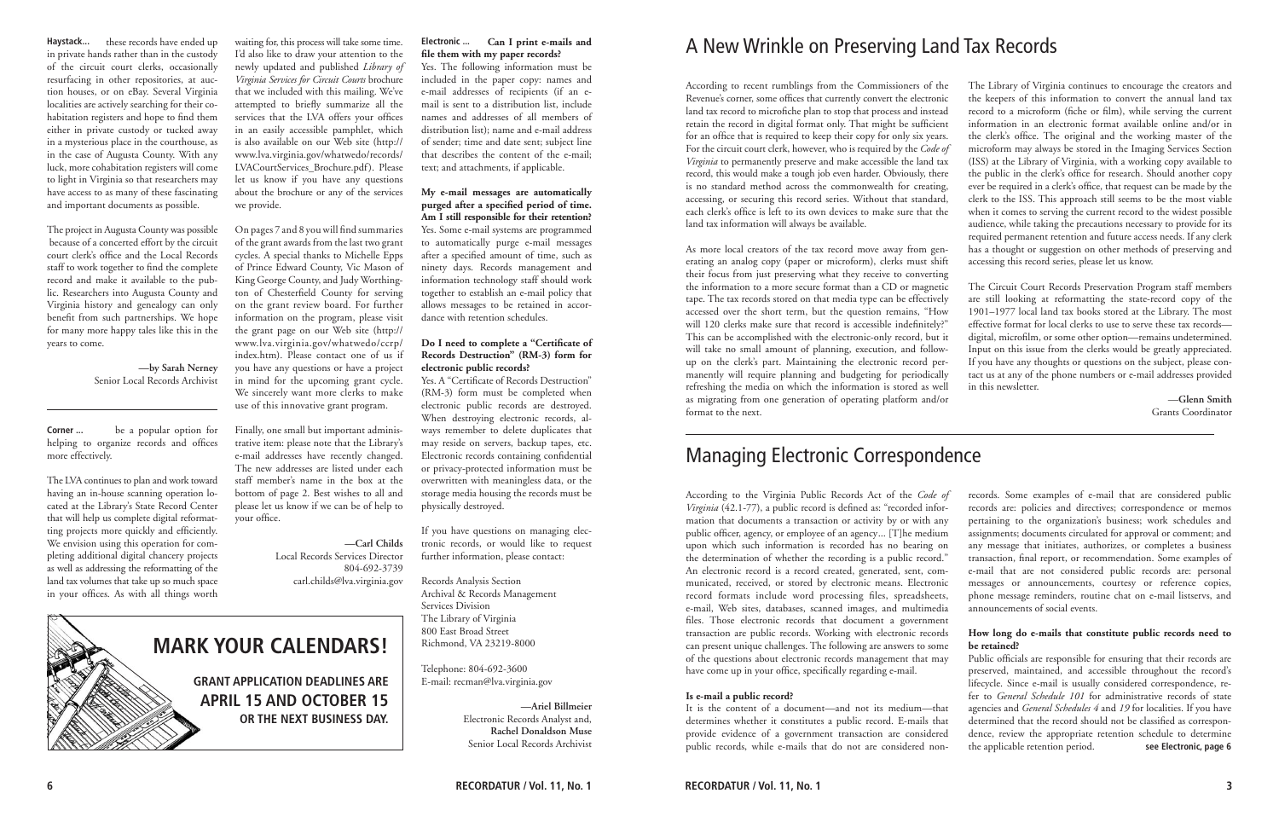**Mark Your Calendars!**

**Grant application deadlines are April 15 and October 15**

**or the next business day.** 

in private hands rather than in the custody of the circuit court clerks, occasionally resurfacing in other repositories, at auction houses, or on eBay. Several Virginia localities are actively searching for their cohabitation registers and hope to find them either in private custody or tucked away in a mysterious place in the courthouse, as in the case of Augusta County. With any luck, more cohabitation registers will come to light in Virginia so that researchers may have access to as many of these fascinating and important documents as possible.

The project in Augusta County was possible because of a concerted effort by the circuit court clerk's office and the Local Records staff to work together to find the complete record and make it available to the public. Researchers into Augusta County and Virginia history and genealogy can only benefit from such partnerships. We hope for many more happy tales like this in the years to come.

> **—by Sarah Nerney** Senior Local Records Archivist

The LVA continues to plan and work toward having an in-house scanning operation located at the Library's State Record Center that will help us complete digital reformatting projects more quickly and efficiently. We envision using this operation for completing additional digital chancery projects as well as addressing the reformatting of the land tax volumes that take up so much space in your offices. As with all things worth

According to recent rumblings from the Commissioners of the Revenue's corner, some offices that currently convert the electronic land tax record to microfiche plan to stop that process and instead retain the record in digital format only. That might be sufficient for an office that is required to keep their copy for only six years. For the circuit court clerk, however, who is required by the *Code of Virginia* to permanently preserve and make accessible the land tax record, this would make a tough job even harder. Obviously, there is no standard method across the commonwealth for creating, accessing, or securing this record series. Without that standard, each clerk's office is left to its own devices to make sure that the land tax information will always be available. As more local creators of the tax record move away from generating an analog copy (paper or microform), clerks must shift The Library of Virginia continues to encourage the creators and the keepers of this information to convert the annual land tax record to a microform (fiche or film), while serving the current information in an electronic format available online and/or in the clerk's office. The original and the working master of the microform may always be stored in the Imaging Services Section (ISS) at the Library of Virginia, with a working copy available to the public in the clerk's office for research. Should another copy ever be required in a clerk's office, that request can be made by the clerk to the ISS. This approach still seems to be the most viable when it comes to serving the current record to the widest possible audience, while taking the precautions necessary to provide for its required permanent retention and future access needs. If any clerk has a thought or suggestion on other methods of preserving and accessing this record series, please let us know.

their focus from just preserving what they receive to converting the information to a more secure format than a CD or magnetic tape. The tax records stored on that media type can be effectively accessed over the short term, but the question remains, "How will 120 clerks make sure that record is accessible indefinitely?" This can be accomplished with the electronic-only record, but it will take no small amount of planning, execution, and followup on the clerk's part. Maintaining the electronic record permanently will require planning and budgeting for periodically refreshing the media on which the information is stored as well as migrating from one generation of operating platform and/or format to the next. The Circuit Court Records Preservation Program staff members are still looking at reformatting the state-record copy of the 1901–1977 local land tax books stored at the Library. The most effective format for local clerks to use to serve these tax records digital, microfilm, or some other option—remains undetermined. Input on this issue from the clerks would be greatly appreciated. If you have any thoughts or questions on the subject, please contact us at any of the phone numbers or e-mail addresses provided in this newsletter. —**Glenn Smith** Grants Coordinator

Haystack... these records have ended up waiting for, this process will take some time. **Electronic** ... I'd also like to draw your attention to the newly updated and published *Library of Virginia Services for Circuit Courts* brochure that we included with this mailing. We've attempted to briefly summarize all the services that the LVA offers your offices in an easily accessible pamphlet, which is also available on our Web site (http:// www.lva.virginia.gov/whatwedo/records/ LVACourtServices\_Brochure.pdf). Please let us know if you have any questions about the brochure or any of the services we provide.

 be a popular option for helping to organize records and offices more effectively. **Corner ...**

# A New Wrinkle on Preserving Land Tax Records

## Managing Electronic Correspondence

According to the Virginia Public Records Act of the *Code of Virginia* (42.1-77), a public record is defined as: "recorded information that documents a transaction or activity by or with any public officer, agency, or employee of an agency... [T]he medium upon which such information is recorded has no bearing on the determination of whether the recording is a public record." An electronic record is a record created, generated, sent, communicated, received, or stored by electronic means. Electronic record formats include word processing files, spreadsheets, e-mail, Web sites, databases, scanned images, and multimedia files. Those electronic records that document a government transaction are public records. Working with electronic records can present unique challenges. The following are answers to some of the questions about electronic records management that may records. Some examples of e-mail that are considered public records are: policies and directives; correspondence or memos pertaining to the organization's business; work schedules and assignments; documents circulated for approval or comment; and any message that initiates, authorizes, or completes a business transaction, final report, or recommendation. Some examples of e-mail that are not considered public records are: personal messages or announcements, courtesy or reference copies, phone message reminders, routine chat on e-mail listservs, and announcements of social events. **How long do e-mails that constitute public records need to be retained?** Public officials are responsible for ensuring that their records are preserved, maintained, and accessible throughout the record's

have come up in your office, specifically regarding e-mail. **Is e-mail a public record?** It is the content of a document—and not its medium—that determines whether it constitutes a public record. E-mails that provide evidence of a government transaction are considered public records, while e-mails that do not are considered nonlifecycle. Since e-mail is usually considered correspondence, refer to *General Schedule 101* for administrative records of state agencies and *General Schedules 4* and *19* for localities. If you have determined that the record should not be classified as correspondence, review the appropriate retention schedule to determine the applicable retention period. **see Electronic, page 6**

On pages 7 and 8 you will find summaries of the grant awards from the last two grant cycles. A special thanks to Michelle Epps of Prince Edward County, Vic Mason of King George County, and Judy Worthington of Chesterfield County for serving on the grant review board. For further information on the program, please visit the grant page on our Web site (http:// www.lva.virginia.gov/whatwedo/ccrp/ index.htm). Please contact one of us if you have any questions or have a project in mind for the upcoming grant cycle. We sincerely want more clerks to make use of this innovative grant program.

Finally, one small but important administrative item: please note that the Library's e-mail addresses have recently changed. The new addresses are listed under each staff member's name in the box at the bottom of page 2. Best wishes to all and please let us know if we can be of help to your office.

> **—Carl Childs** Local Records Services Director 804-692-3739 carl.childs@lva.virginia.gov

### **Can I print e-mails and file them with my paper records?**

Yes. The following information must be included in the paper copy: names and e-mail addresses of recipients (if an email is sent to a distribution list, include names and addresses of all members of distribution list); name and e-mail address of sender; time and date sent; subject line that describes the content of the e-mail; text; and attachments, if applicable.

**My e-mail messages are automatically purged after a specified period of time. Am I still responsible for their retention?** Yes. Some e-mail systems are programmed to automatically purge e-mail messages after a specified amount of time, such as ninety days. Records management and information technology staff should work together to establish an e-mail policy that allows messages to be retained in accor-

dance with retention schedules.

### **Do I need to complete a "Certificate of Records Destruction" (RM-3) form for electronic public records?**

Yes. A "Certificate of Records Destruction" (RM-3) form must be completed when electronic public records are destroyed. When destroying electronic records, always remember to delete duplicates that may reside on servers, backup tapes, etc. Electronic records containing confidential or privacy-protected information must be overwritten with meaningless data, or the storage media housing the records must be physically destroyed.

If you have questions on managing electronic records, or would like to request further information, please contact:

Records Analysis Section Archival & Records Management Services Division The Library of Virginia 800 East Broad Street Richmond, VA 23219-8000

Telephone: 804-692-3600 E-mail: recman@lva.virginia.gov

> **—Ariel Billmeier** Electronic Records Analyst and, **Rachel Donaldson Muse** Senior Local Records Archivist